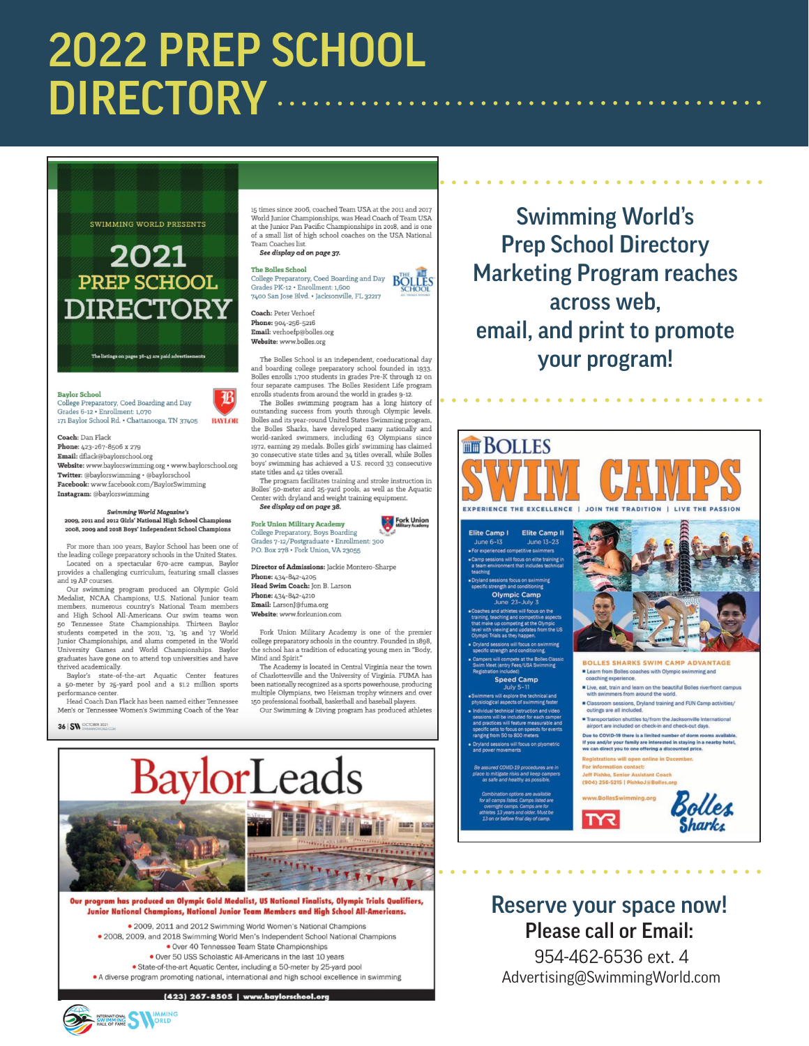# 2022 PREP SCHOOL **DIRECTORY** ..



## **2021** PREP SCHOOL DIRECTORY

.<br>Ings on pages 36-43 are paid adv

**Baylor School** 

College Preparatory, Coed Boarding and Day<br>Grades 6-12 • Enrollment: 1,070 171 Baylor School Rd. . Chattanooga, TN 37405 **BAYLOR** 

Coach: Dan Flack one: 423-267-8506 x 279 Email: dflack@baylorschool.org Website: www.baylorswimming.org · www.baylorschool.org Twitter: @baylorswimming • @baylorschool Facebook: www.facebook.com/BaylorSwimming Instagram: @baylorswimming

#### Swimming World Magazine's<br>2009, 2011 and 2012 Girls' National High School Champions 2008, 2009 and 2018 Boys' Independent School Champions

For more than 100 years, Baylor School has been one of the leading college preparatory schools in the United States.  $\,$ Located on a spectacular 670-acre campus, Baylor provides a challenging curriculum, featuring small classes and 19 AP courses.

Our swimming program produced an Olympic Gold Medalist, NCAA Champions, U.S. National Junior team<br>members, numerous country's National Team members<br>and High School All-Americans. Our swim teams won and right occurs and reference<br>and Sp Tennessee State Championships. Thirteen Baylor students competed in the 2011, '13, '15 and '17 World Junior Championships, and alums competed in the World University Games and World Ch graduates have gone on to attend top universities and have thrived academically.

Baylor's state-of-the-art Aquatic Center features a 50-meter by 25-yard pool and a \$1.2 million sports performance ce

Head Coach Dan Flack has been named either Tennessee Men's or Tennessee Women's Swimming Coach of the Year

36 | SW OCTOBER 2021

15 times since 2006, coached Team USA at the 2011 and 2017 World Junior Championships, was Head Coach of Team USA<br>at the Junior Pan Pacific Championships in 2018, and is one of a small list of high school coaches on the USA National Team Coaches list See display ad on page 37.

#### **The Bolles School**

College Preparatory, Coed Boarding and Day<br>Grades PK-12 • Enrollment: 1,600 7400 San Jose Blvd. • Jacksonville, FL 32217

**Coach: Peter Verhoef** Phone: 904-256-5216 Email: verhoefp@bolles.org Website: www.bolles.org

The Bolles School is an independent, coeducational day and boarding college preparatory school founded in 1933. Bolles enrolls 1,700 students in grades Pre-K through 12 on four separate campuses. The Bolles Resident Life program enrolls students from around the world in grades 9-12.  $\,$ 

The Bolles swimming program has a long history of utstanding success from youth through Olympic levels. Bolles and its year-round United States Swimming program, the Bolles Sharks, have developed many nationally and world-ranked swimmers, including 63 Olympians since 1972, earning 29 medals. Bolles girls' swimming has claimed 30 consecutive state titles and  $34$  titles overall, while Bolles boys' swimming has achieved a U.S. record 33 consecutive state titles and 42 titles overall.

The program facilitates training and stroke instruction in Bolles' 50-meter and 25-yard pools, as well as the Aquatic Center with dryland and weight training equipment. See display ad on page 38.

**Fork Union** 

**Fork Union Military Academy** College Preparatory, Boys Boarding<br>Grades 7-12/Postgraduate • Enrollment: 300 P.O. Box 278 . Fork Union, VA 23055

Director of Admissions: Jackie Montero-Sharpe Phone: 434-842-4205 Head Swim Coach: Jon B. Larson

Phone:  $\rm 434\text{-}842\text{-}4210$ Email: LarsonJ@fuma.org Website: www.forkunion.com

Fork Union Military Academy is one of the premier college preparatory schools in the country. Founded in 1898, the school has a tradition of educating young men in "Body, Mind and Spirit."<br>The Academy is located in Central Virginia near the town

of Charlottes<br>ville and the University of Virginia.  ${\rm FUMA}$  has been nationally recognized as a sports powerhouse, producing multiple Olympians, two Heisman trophy winners and over<br>150 professional football, basketball and baseball players.



Our program has produced an Olympic Gold Medalist, US National Finalists, Olympic Trials Qualifiers, Junior National Champions, National Junior Team Members and High School All-Americans.

. 2009, 2011 and 2012 Swimming World Women's National Champions . 2008. 2009, and 2018 Swimming World Men's Independent School National Champions . Over 40 Tennessee Team State Championships . Over 50 USS Scholastic All-Americans in the last 10 years · State-of-the-art Aquatic Center, including a 50-meter by 25-yard pool • A diverse program promoting national, international and high school excellence in swimming

(423) 267-8505 | www.baylorschool.o

**Swimming World's Prep School Directory Marketing Program reaches** across web. email, and print to promote your program!



### Reserve your space now! **Please call or Email:**

954-462-6536 ext. 4 Advertising@SwimmingWorld.com